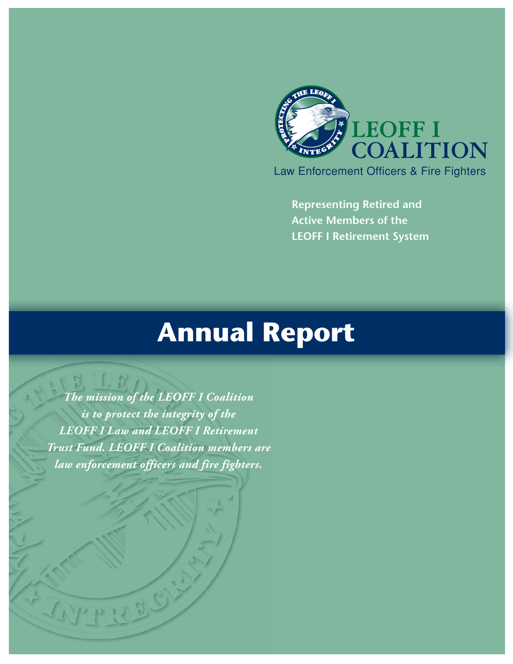

**Representing Retired and Active Members of the LEOFF I Retirement System**

# **Annual Report**

*The mission of the LEOFF I Coalition is to protect the integrity of the LEOFF I Law and LEOFF I Retirement Trust Fund. LEOFF I Coalition members are law enforcement officers and fire fighters.*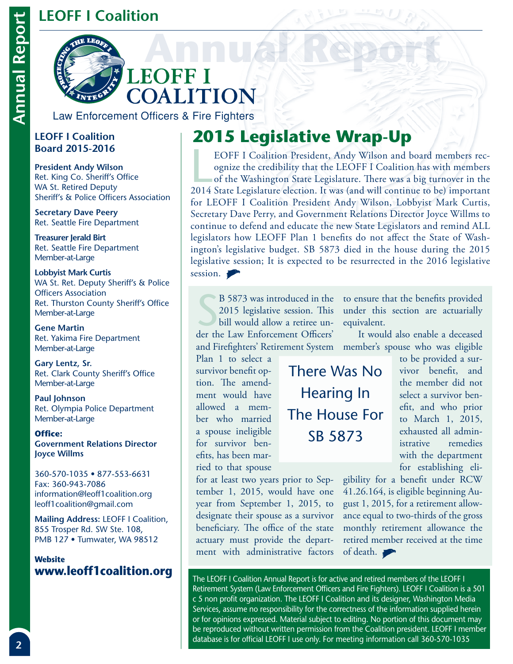#### **LEOFF I Coalition**



Law Enforcement Officers & Fire Fighters

#### **LEOFF I Coalition Board 2015-2016**

**President Andy Wilson**  Ret. King Co. Sheriff's Office WA St. Retired Deputy Sheriff's & Police Officers Association

**Secretary Dave Peery**  Ret. Seattle Fire Department

**Treasurer Jerald Birt**  Ret. Seattle Fire Department Member-at-Large

**Lobbyist Mark Curtis** WA St. Ret. Deputy Sheriff's & Police Officers Association Ret. Thurston County Sheriff's Office Member-at-Large

**Gene Martin**  Ret. Yakima Fire Department Member-at-Large

**Gary Lentz, Sr.** Ret. Clark County Sheriff's Office Member-at-Large

**Paul Johnson**  Ret. Olympia Police Department Member-at-Large

**Office: Government Relations Director Joyce Willms**

360-570-1035 • 877-553-6631 Fax: 360-943-7086 information@leoff1coalition.org leoff1coalition@gmail.com

**Mailing Address:** LEOFF I Coalition, 855 Trosper Rd. SW Ste. 108, PMB 127 • Tumwater, WA 98512

# **Website**

# **2015 Legislative Wrap-Up**

EOFF I Coalition President, Andy Wilson and board members recognize the credibility that the LEOFF I Coalition has with members of the Washington State Legislature. There was a big turnover in the 2014 State Legislature el EOFF I Coalition President, Andy Wilson and board members recognize the credibility that the LEOFF I Coalition has with members of the Washington State Legislature. There was a big turnover in the for LEOFF I Coalition President Andy Wilson, Lobbyist Mark Curtis, Secretary Dave Perry, and Government Relations Director Joyce Willms to continue to defend and educate the new State Legislators and remind ALL legislators how LEOFF Plan 1 benefits do not affect the State of Washington's legislative budget. SB 5873 died in the house during the 2015 legislative session; It is expected to be resurrected in the 2016 legislative session.

B 5873 was introduced in the 2015 legislative session. This<br>bill would allow a retiree under the Law Enforcement Officers' 2015 legislative session. This bill would allow a retiree un-

Plan 1 to select a survivor benefit option. The amendment would have allowed a member who married a spouse ineligible for survivor benefits, has been married to that spouse

There Was No Hearing In The House For SB 5873

B 5873 was introduced in the to ensure that the benefits provided under this section are actuarially equivalent.

and Firefighters' Retirement System member's spouse who was eligible It would also enable a deceased

> to be provided a survivor benefit, and the member did not select a survivor benefit, and who prior to March 1, 2015, exhausted all administrative remedies with the department for establishing eli-

for at least two years prior to September 1, 2015, would have one year from September 1, 2015, to designate their spouse as a survivor beneficiary. The office of the state actuary must provide the department with administrative factors

gibility for a benefit under RCW 41.26.164, is eligible beginning August 1, 2015, for a retirement allowance equal to two-thirds of the gross monthly retirement allowance the retired member received at the time of death.

**www.leoff1coalition.org** The LEOFF I Coalition Annual Report is for active and retired members of the LEOFF I Retirement System (Law Enforcement Officers and Fire Fighters). LEOFF I Coalition is a 501 c 5 non profit organization. The LEOFF I Coalition and its designer, Washington Media Services, assume no responsibility for the correctness of the information supplied herein or for opinions expressed. Material subject to editing. No portion of this document may be reproduced without written permission from the Coalition president. LEOFF I member database is for official LEOFF I use only. For meeting information call 360-570-1035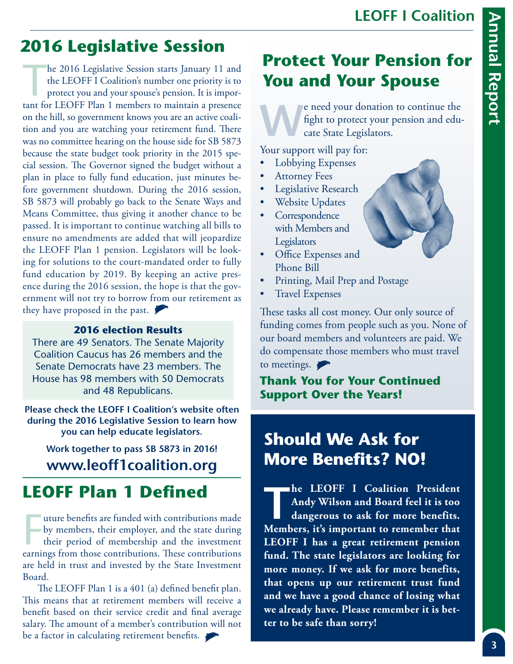## **2016 Legislative Session**

he 2016 Legislative Session starts January 11 and the LEOFF I Coalition's number one priority is to protect you and your spouse's pension. It is important for LEOFF Plan 1 members to maintain a presence on the hill, so government knows you are an active coalition and you are watching your retirement fund. There was no committee hearing on the house side for SB 5873 because the state budget took priority in the 2015 special session. The Governor signed the budget without a plan in place to fully fund education, just minutes before government shutdown. During the 2016 session, SB 5873 will probably go back to the Senate Ways and Means Committee, thus giving it another chance to be passed. It is important to continue watching all bills to ensure no amendments are added that will jeopardize the LEOFF Plan 1 pension. Legislators will be looking for solutions to the court-mandated order to fully fund education by 2019. By keeping an active presence during the 2016 session, the hope is that the government will not try to borrow from our retirement as they have proposed in the past.

#### **2016 election Results**

There are 49 Senators. The Senate Majority Coalition Caucus has 26 members and the Senate Democrats have 23 members. The House has 98 members with 50 Democrats and 48 Republicans.

**Please check the LEOFF I Coalition's website often during the 2016 Legislative Session to learn how you can help educate legislators.** 

**Work together to pass SB 5873 in 2016! www.leoff1coalition.org**

#### **LEOFF Plan 1 Defined**

Inture benefits are funded with contributions made<br>by members, their employer, and the state during<br>their period of membership and the investment<br>earnings from those contributions. These contributions uture benefits are funded with contributions made by members, their employer, and the state during their period of membership and the investment are held in trust and invested by the State Investment Board.

The LEOFF Plan 1 is a 401 (a) defined benefit plan. This means that at retirement members will receive a benefit based on their service credit and final average salary. The amount of a member's contribution will not be a factor in calculating retirement benefits.

#### **Protect Your Pension for You and Your Spouse**

El red your donation to continue the fight to protect your pension and educate State Legislators. fight to protect your pension and educate State Legislators.

Your support will pay for:

- Lobbying Expenses
- **Attorney Fees**
- Legislative Research
- Website Updates
- **Correspondence** with Members and **Legislators**
- Office Expenses and Phone Bill
- Printing, Mail Prep and Postage
- Travel Expenses

These tasks all cost money. Our only source of funding comes from people such as you. None of our board members and volunteers are paid. We do compensate those members who must travel to meetings.

**Thank You for Your Continued Support Over the Years!**

#### **Should We Ask for More Benefits? NO!**

**TARK I Coalition President Andy Wilson and Board feel it is too dangerous to ask for more benefits. Andy Wilson and Board feel it is too Members, it's important to remember that LEOFF I has a great retirement pension fund. The state legislators are looking for more money. If we ask for more benefits, that opens up our retirement trust fund and we have a good chance of losing what we already have. Please remember it is better to be safe than sorry!**



**LEOFF I Coalition**